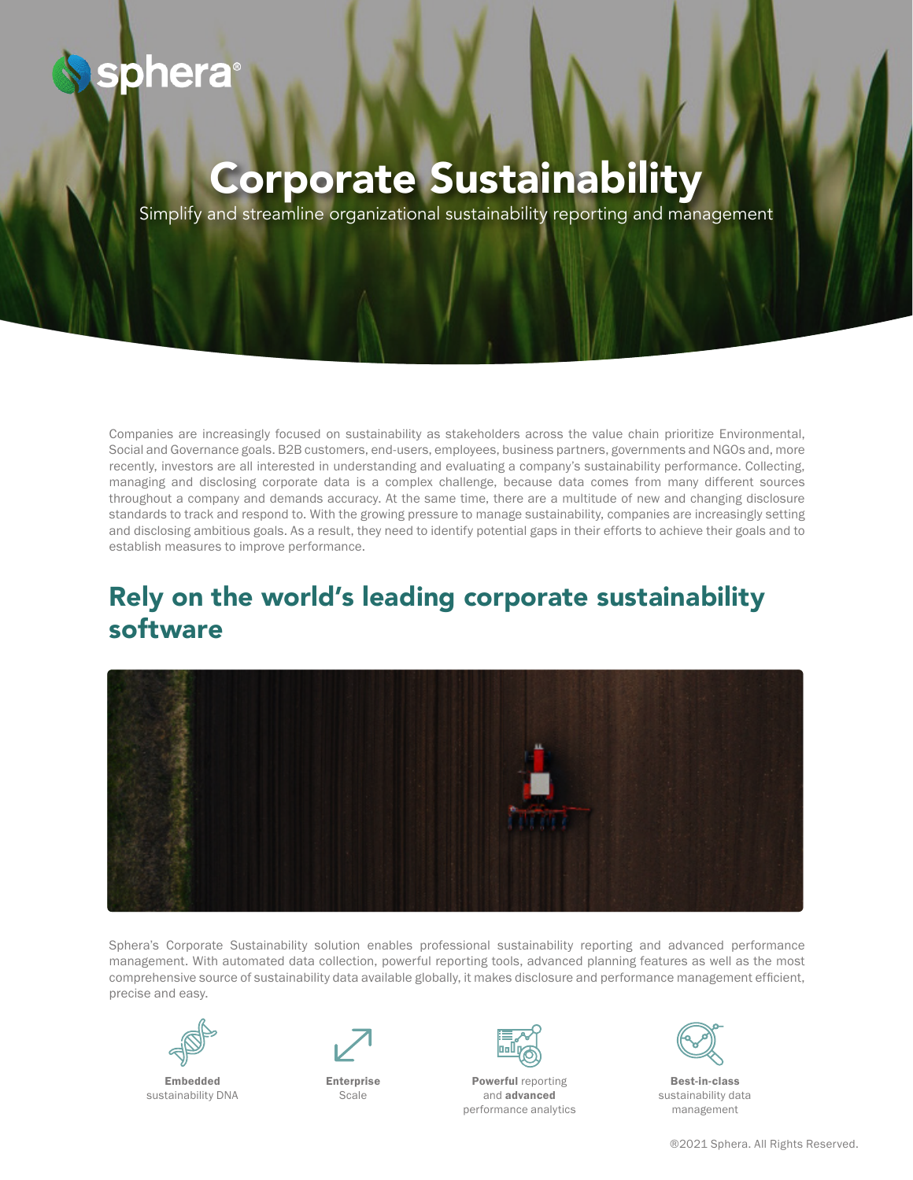# phera

## Corporate Sustainability

Simplify and streamline organizational sustainability reporting and management

Companies are increasingly focused on sustainability as stakeholders across the value chain prioritize Environmental, Social and Governance goals. B2B customers, end-users, employees, business partners, governments and NGOs and, more recently, investors are all interested in understanding and evaluating a company's sustainability performance. Collecting, managing and disclosing corporate data is a complex challenge, because data comes from many different sources throughout a company and demands accuracy. At the same time, there are a multitude of new and changing disclosure standards to track and respond to. With the growing pressure to manage sustainability, companies are increasingly setting and disclosing ambitious goals. As a result, they need to identify potential gaps in their efforts to achieve their goals and to establish measures to improve performance.

### Rely on the world's leading corporate sustainability software



Sphera's Corporate Sustainability solution enables professional sustainability reporting and advanced performance management. With automated data collection, powerful reporting tools, advanced planning features as well as the most comprehensive source of sustainability data available globally, it makes disclosure and performance management efficient, precise and easy.



Embedded sustainability DNA



Enterprise Scale



Powerful reporting and advanced performance analytics



Best-in-class sustainability data management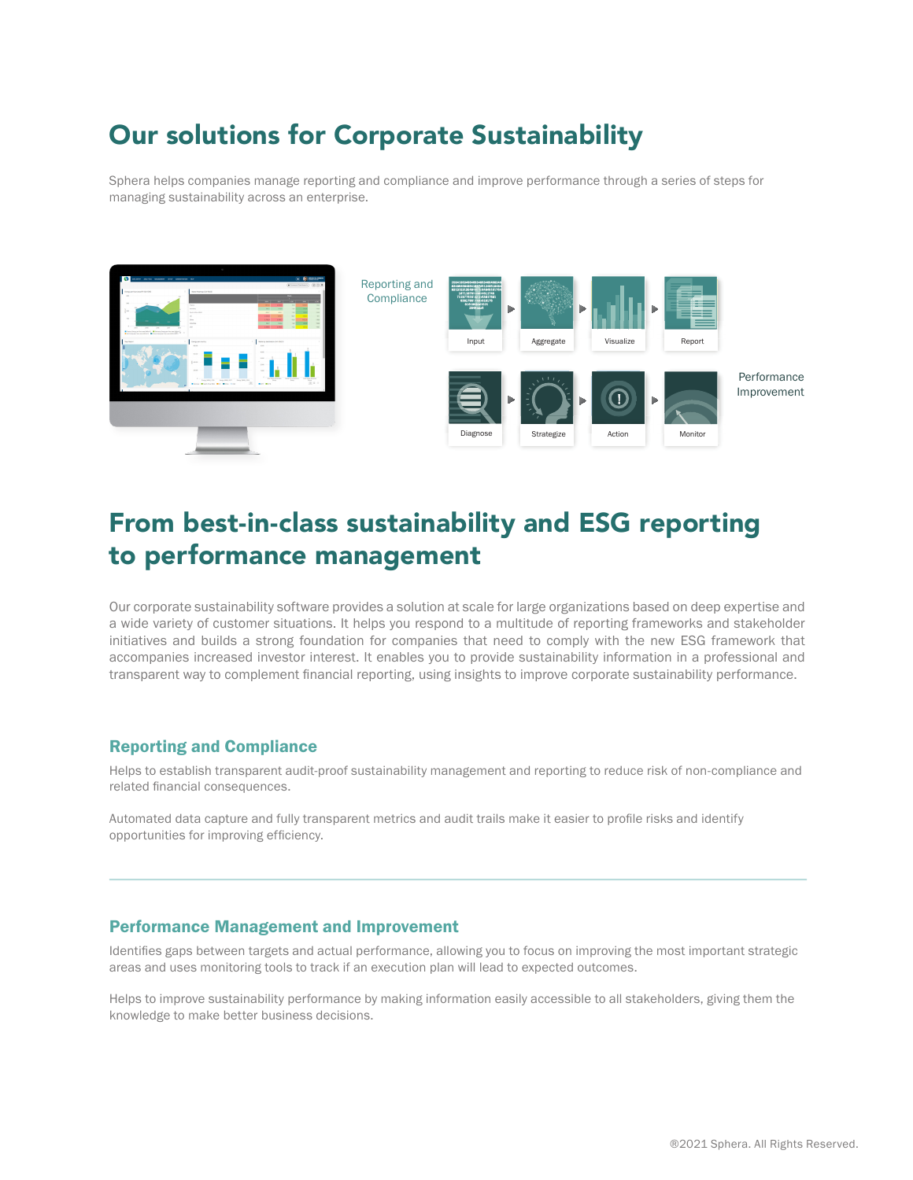### Our solutions for Corporate Sustainability

Sphera helps companies manage reporting and compliance and improve performance through a series of steps for managing sustainability across an enterprise.



### From best-in-class sustainability and ESG reporting to performance management

Our corporate sustainability software provides a solution at scale for large organizations based on deep expertise and a wide variety of customer situations. It helps you respond to a multitude of reporting frameworks and stakeholder initiatives and builds a strong foundation for companies that need to comply with the new ESG framework that accompanies increased investor interest. It enables you to provide sustainability information in a professional and transparent way to complement financial reporting, using insights to improve corporate sustainability performance.

### Reporting and Compliance

Helps to establish transparent audit-proof sustainability management and reporting to reduce risk of non-compliance and related financial consequences.

Automated data capture and fully transparent metrics and audit trails make it easier to profile risks and identify opportunities for improving efficiency.

### Performance Management and Improvement

Identifies gaps between targets and actual performance, allowing you to focus on improving the most important strategic areas and uses monitoring tools to track if an execution plan will lead to expected outcomes.

Helps to improve sustainability performance by making information easily accessible to all stakeholders, giving them the knowledge to make better business decisions.